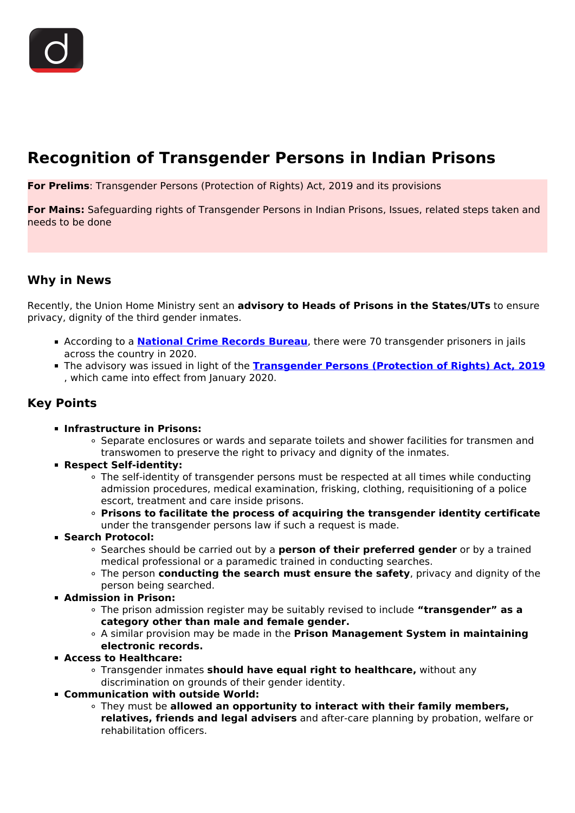# **Recognition of Transgender Persons in Indian Prisons**

**For Prelims**: Transgender Persons (Protection of Rights) Act, 2019 and its provisions

**For Mains:** Safeguarding rights of Transgender Persons in Indian Prisons, Issues, related steps taken and needs to be done

## **Why in News**

Recently, the Union Home Ministry sent an **advisory to Heads of Prisons in the States/UTs** to ensure privacy, dignity of the third gender inmates.

- **-** According to a **[National Crime Records Bureau](/daily-updates/daily-news-analysis/crime-in-india-report-2020-ncrb)**, there were 70 transgender prisoners in jails across the country in 2020.
- The advisory was issued in light of the **[Transgender Persons \(Protection of Rights\) Act, 2019](/daily-updates/daily-news-analysis/the-transgender-persons-protection-of-rights-bill-2019)** , which came into effect from January 2020.

# **Key Points**

- **Infrastructure in Prisons:**
	- Separate enclosures or wards and separate toilets and shower facilities for transmen and transwomen to preserve the right to privacy and dignity of the inmates.
- **Respect Self-identity:**
	- The self-identity of transgender persons must be respected at all times while conducting admission procedures, medical examination, frisking, clothing, requisitioning of a police escort, treatment and care inside prisons.
	- **Prisons to facilitate the process of acquiring the transgender identity certificate** under the transgender persons law if such a request is made.
- **Search Protocol:**
	- Searches should be carried out by a **person of their preferred gender** or by a trained medical professional or a paramedic trained in conducting searches.
	- The person **conducting the search must ensure the safety**, privacy and dignity of the person being searched.
- **Admission in Prison:**
	- The prison admission register may be suitably revised to include **"transgender" as a category other than male and female gender.**
	- A similar provision may be made in the **Prison Management System in maintaining electronic records.**
- **Access to Healthcare:**
	- Transgender inmates **should have equal right to healthcare,** without any discrimination on grounds of their gender identity.
- **Communication with outside World:**
	- They must be **allowed an opportunity to interact with their family members, relatives, friends and legal advisers** and after-care planning by probation, welfare or rehabilitation officers.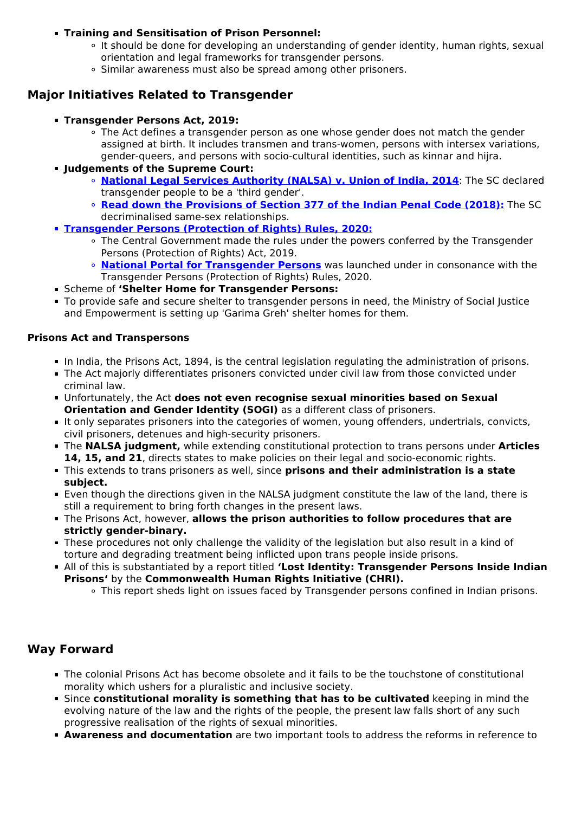#### **Training and Sensitisation of Prison Personnel:**

- It should be done for developing an understanding of gender identity, human rights, sexual orientation and legal frameworks for transgender persons.
- Similar awareness must also be spread among other prisoners.

# **Major Initiatives Related to Transgender**

- **Transgender Persons Act, 2019:**
	- The Act defines a transgender person as one whose gender does not match the gender assigned at birth. It includes transmen and trans-women, persons with intersex variations, gender-queers, and persons with socio-cultural identities, such as kinnar and hijra.
- **Judgements of the Supreme Court:**
	- **[National Legal Services Authority \(NALSA\) v. Union of India, 2014](/daily-updates/daily-news-analysis/sc-decriminalizes-homosexuality)**: The SC declared transgender people to be a 'third gender'.
	- **[Read down the Provisions of Section 377 of the Indian Penal Code \(2018\):](/to-the-points/Paper2/to-the-point-paper-2-section-377-judgement)** The SC decriminalised same-sex relationships.
- **[Transgender Persons \(Protection of Rights\) Rules, 2020:](/daily-updates/daily-news-analysis/initiatives-for-transgender-persons)**
	- The Central Government made the rules under the powers conferred by the Transgender Persons (Protection of Rights) Act, 2019.
	- **[National Portal for Transgender Persons](/daily-updates/daily-news-analysis/initiatives-for-transgender-persons)** was launched under in consonance with the Transgender Persons (Protection of Rights) Rules, 2020.
- Scheme of **'Shelter Home for Transgender Persons:**
- To provide safe and secure shelter to transgender persons in need, the Ministry of Social Justice and Empowerment is setting up 'Garima Greh' shelter homes for them.

#### **Prisons Act and Transpersons**

- In India, the Prisons Act, 1894, is the central legislation regulating the administration of prisons.
- The Act majorly differentiates prisoners convicted under civil law from those convicted under criminal law.
- Unfortunately, the Act **does not even recognise sexual minorities based on Sexual Orientation and Gender Identity (SOGI)** as a different class of prisoners.
- It only separates prisoners into the categories of women, young offenders, undertrials, convicts, civil prisoners, detenues and high-security prisoners.
- The **NALSA judgment,** while extending constitutional protection to trans persons under **Articles 14, 15, and 21**, directs states to make policies on their legal and socio-economic rights.
- This extends to trans prisoners as well, since **prisons and their administration is a state subject.**
- Even though the directions given in the NALSA judgment constitute the law of the land, there is still a requirement to bring forth changes in the present laws.
- The Prisons Act, however, **allows the prison authorities to follow procedures that are strictly gender-binary.**
- These procedures not only challenge the validity of the legislation but also result in a kind of torture and degrading treatment being inflicted upon trans people inside prisons.
- All of this is substantiated by a report titled **'Lost Identity: Transgender Persons Inside Indian Prisons'** by the **Commonwealth Human Rights Initiative (CHRI).**
	- This report sheds light on issues faced by Transgender persons confined in Indian prisons.

## **Way Forward**

- The colonial Prisons Act has become obsolete and it fails to be the touchstone of constitutional morality which ushers for a pluralistic and inclusive society.
- Since **constitutional morality is something that has to be cultivated** keeping in mind the evolving nature of the law and the rights of the people, the present law falls short of any such progressive realisation of the rights of sexual minorities.
- **Awareness and documentation** are two important tools to address the reforms in reference to